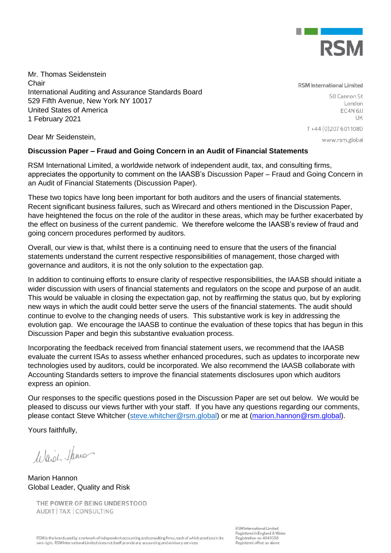

Mr. Thomas Seidenstein **Chair** International Auditing and Assurance Standards Board 529 Fifth Avenue, New York NY 10017 United States of America 1 February 2021

**RSM** International Limited

50 Cannon St London EC4N<sub>6JJ</sub> LIK

T+44 (0) 207 6011080

Dear Mr Seidenstein,

www.rsm.global

# **Discussion Paper – Fraud and Going Concern in an Audit of Financial Statements**

RSM International Limited, a worldwide network of independent audit, tax, and consulting firms, appreciates the opportunity to comment on the IAASB's Discussion Paper – Fraud and Going Concern in an Audit of Financial Statements (Discussion Paper).

These two topics have long been important for both auditors and the users of financial statements. Recent significant business failures, such as Wirecard and others mentioned in the Discussion Paper, have heightened the focus on the role of the auditor in these areas, which may be further exacerbated by the effect on business of the current pandemic. We therefore welcome the IAASB's review of fraud and going concern procedures performed by auditors.

Overall, our view is that, whilst there is a continuing need to ensure that the users of the financial statements understand the current respective responsibilities of management, those charged with governance and auditors, it is not the only solution to the expectation gap.

In addition to continuing efforts to ensure clarity of respective responsibilities, the IAASB should initiate a wider discussion with users of financial statements and regulators on the scope and purpose of an audit. This would be valuable in closing the expectation gap, not by reaffirming the status quo, but by exploring new ways in which the audit could better serve the users of the financial statements. The audit should continue to evolve to the changing needs of users. This substantive work is key in addressing the evolution gap. We encourage the IAASB to continue the evaluation of these topics that has begun in this Discussion Paper and begin this substantive evaluation process.

Incorporating the feedback received from financial statement users, we recommend that the IAASB evaluate the current ISAs to assess whether enhanced procedures, such as updates to incorporate new technologies used by auditors, could be incorporated. We also recommend the IAASB collaborate with Accounting Standards setters to improve the financial statements disclosures upon which auditors express an opinion.

Our responses to the specific questions posed in the Discussion Paper are set out below. We would be pleased to discuss our views further with your staff. If you have any questions regarding our comments, please contact Steve Whitcher [\(steve.whitcher@rsm.global\)](mailto:steve.whitcher@rsm.global) or me at [\(marion.hannon@rsm.global\)](mailto:marion.hannon@rsm.global).

Yours faithfully,

Waid James

Marion Hannon Global Leader, Quality and Risk

THE POWER OF BEING UNDERSTOOD AUDIT | TAX | CONSULTING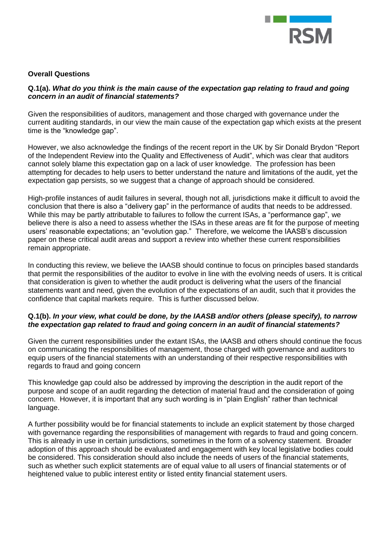

## **Overall Questions**

## **Q.1(a).** *What do you think is the main cause of the expectation gap relating to fraud and going concern in an audit of financial statements?*

Given the responsibilities of auditors, management and those charged with governance under the current auditing standards, in our view the main cause of the expectation gap which exists at the present time is the "knowledge gap".

However, we also acknowledge the findings of the recent report in the UK by Sir Donald Brydon "Report of the Independent Review into the Quality and Effectiveness of Audit", which was clear that auditors cannot solely blame this expectation gap on a lack of user knowledge. The profession has been attempting for decades to help users to better understand the nature and limitations of the audit, yet the expectation gap persists, so we suggest that a change of approach should be considered.

High-profile instances of audit failures in several, though not all, jurisdictions make it difficult to avoid the conclusion that there is also a "delivery gap" in the performance of audits that needs to be addressed. While this may be partly attributable to failures to follow the current ISAs, a "performance gap", we believe there is also a need to assess whether the ISAs in these areas are fit for the purpose of meeting users' reasonable expectations; an "evolution gap." Therefore, we welcome the IAASB's discussion paper on these critical audit areas and support a review into whether these current responsibilities remain appropriate.

In conducting this review, we believe the IAASB should continue to focus on principles based standards that permit the responsibilities of the auditor to evolve in line with the evolving needs of users. It is critical that consideration is given to whether the audit product is delivering what the users of the financial statements want and need, given the evolution of the expectations of an audit, such that it provides the confidence that capital markets require. This is further discussed below.

## **Q.1(b).** *In your view, what could be done, by the IAASB and/or others (please specify), to narrow the expectation gap related to fraud and going concern in an audit of financial statements?*

Given the current responsibilities under the extant ISAs, the IAASB and others should continue the focus on communicating the responsibilities of management, those charged with governance and auditors to equip users of the financial statements with an understanding of their respective responsibilities with regards to fraud and going concern

This knowledge gap could also be addressed by improving the description in the audit report of the purpose and scope of an audit regarding the detection of material fraud and the consideration of going concern. However, it is important that any such wording is in "plain English" rather than technical language.

A further possibility would be for financial statements to include an explicit statement by those charged with governance regarding the responsibilities of management with regards to fraud and going concern. This is already in use in certain jurisdictions, sometimes in the form of a solvency statement. Broader adoption of this approach should be evaluated and engagement with key local legislative bodies could be considered. This consideration should also include the needs of users of the financial statements, such as whether such explicit statements are of equal value to all users of financial statements or of heightened value to public interest entity or listed entity financial statement users.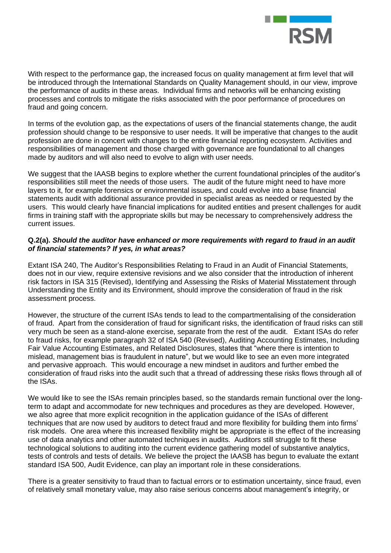

With respect to the performance gap, the increased focus on quality management at firm level that will be introduced through the International Standards on Quality Management should, in our view, improve the performance of audits in these areas. Individual firms and networks will be enhancing existing processes and controls to mitigate the risks associated with the poor performance of procedures on fraud and going concern.

In terms of the evolution gap, as the expectations of users of the financial statements change, the audit profession should change to be responsive to user needs. It will be imperative that changes to the audit profession are done in concert with changes to the entire financial reporting ecosystem. Activities and responsibilities of management and those charged with governance are foundational to all changes made by auditors and will also need to evolve to align with user needs.

We suggest that the IAASB begins to explore whether the current foundational principles of the auditor's responsibilities still meet the needs of those users. The audit of the future might need to have more layers to it, for example forensics or environmental issues, and could evolve into a base financial statements audit with additional assurance provided in specialist areas as needed or requested by the users. This would clearly have financial implications for audited entities and present challenges for audit firms in training staff with the appropriate skills but may be necessary to comprehensively address the current issues.

## **Q.2(a).** *Should the auditor have enhanced or more requirements with regard to fraud in an audit of financial statements? If yes, in what areas?*

Extant ISA 240, The Auditor's Responsibilities Relating to Fraud in an Audit of Financial Statements, does not in our view, require extensive revisions and we also consider that the introduction of inherent risk factors in ISA 315 (Revised), Identifying and Assessing the Risks of Material Misstatement through Understanding the Entity and its Environment, should improve the consideration of fraud in the risk assessment process.

However, the structure of the current ISAs tends to lead to the compartmentalising of the consideration of fraud. Apart from the consideration of fraud for significant risks, the identification of fraud risks can still very much be seen as a stand-alone exercise, separate from the rest of the audit. Extant ISAs do refer to fraud risks, for example paragraph 32 of ISA 540 (Revised), Auditing Accounting Estimates, Including Fair Value Accounting Estimates, and Related Disclosures, states that "where there is intention to mislead, management bias is fraudulent in nature", but we would like to see an even more integrated and pervasive approach. This would encourage a new mindset in auditors and further embed the consideration of fraud risks into the audit such that a thread of addressing these risks flows through all of the ISAs.

We would like to see the ISAs remain principles based, so the standards remain functional over the longterm to adapt and accommodate for new techniques and procedures as they are developed. However, we also agree that more explicit recognition in the application guidance of the ISAs of different techniques that are now used by auditors to detect fraud and more flexibility for building them into firms' risk models. One area where this increased flexibility might be appropriate is the effect of the increasing use of data analytics and other automated techniques in audits. Auditors still struggle to fit these technological solutions to auditing into the current evidence gathering model of substantive analytics, tests of controls and tests of details. We believe the project the IAASB has begun to evaluate the extant standard ISA 500, Audit Evidence, can play an important role in these considerations.

There is a greater sensitivity to fraud than to factual errors or to estimation uncertainty, since fraud, even of relatively small monetary value, may also raise serious concerns about management's integrity, or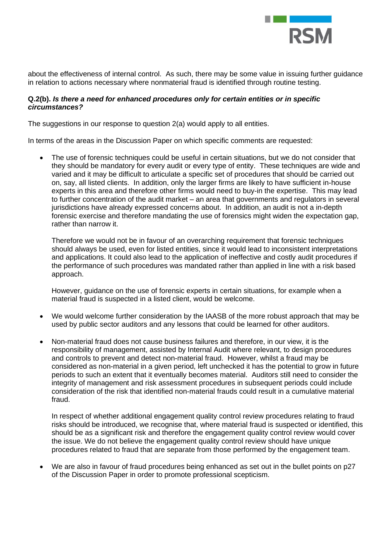

about the effectiveness of internal control. As such, there may be some value in issuing further guidance in relation to actions necessary where nonmaterial fraud is identified through routine testing.

## **Q.2(b).** *Is there a need for enhanced procedures only for certain entities or in specific circumstances?*

The suggestions in our response to question 2(a) would apply to all entities.

In terms of the areas in the Discussion Paper on which specific comments are requested:

The use of forensic techniques could be useful in certain situations, but we do not consider that they should be mandatory for every audit or every type of entity. These techniques are wide and varied and it may be difficult to articulate a specific set of procedures that should be carried out on, say, all listed clients. In addition, only the larger firms are likely to have sufficient in-house experts in this area and therefore other firms would need to buy-in the expertise. This may lead to further concentration of the audit market – an area that governments and regulators in several jurisdictions have already expressed concerns about. In addition, an audit is not a in-depth forensic exercise and therefore mandating the use of forensics might widen the expectation gap, rather than narrow it.

Therefore we would not be in favour of an overarching requirement that forensic techniques should always be used, even for listed entities, since it would lead to inconsistent interpretations and applications. It could also lead to the application of ineffective and costly audit procedures if the performance of such procedures was mandated rather than applied in line with a risk based approach.

However, guidance on the use of forensic experts in certain situations, for example when a material fraud is suspected in a listed client, would be welcome.

- We would welcome further consideration by the IAASB of the more robust approach that may be used by public sector auditors and any lessons that could be learned for other auditors.
- Non-material fraud does not cause business failures and therefore, in our view, it is the responsibility of management, assisted by Internal Audit where relevant, to design procedures and controls to prevent and detect non-material fraud. However, whilst a fraud may be considered as non-material in a given period, left unchecked it has the potential to grow in future periods to such an extent that it eventually becomes material. Auditors still need to consider the integrity of management and risk assessment procedures in subsequent periods could include consideration of the risk that identified non-material frauds could result in a cumulative material fraud.

In respect of whether additional engagement quality control review procedures relating to fraud risks should be introduced, we recognise that, where material fraud is suspected or identified, this should be as a significant risk and therefore the engagement quality control review would cover the issue. We do not believe the engagement quality control review should have unique procedures related to fraud that are separate from those performed by the engagement team.

• We are also in favour of fraud procedures being enhanced as set out in the bullet points on p27 of the Discussion Paper in order to promote professional scepticism.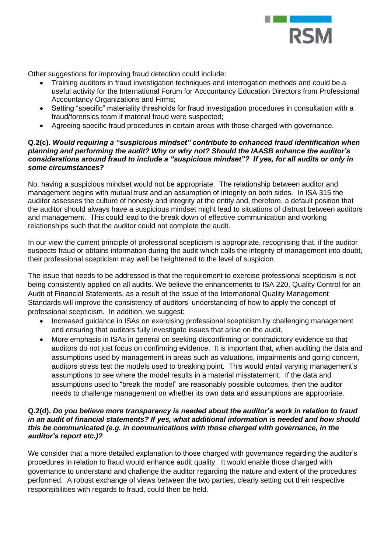

Other suggestions for improving fraud detection could include:

- Training auditors in fraud investigation techniques and interrogation methods and could be a useful activity for the International Forum for Accountancy Education Directors from Professional Accountancy Organizations and Firms;
- Setting "specific" materiality thresholds for fraud investigation procedures in consultation with a fraud/forensics team if material fraud were suspected;
- Agreeing specific fraud procedures in certain areas with those charged with governance.

#### **Q.2(c).** *Would requiring a "suspicious mindset" contribute to enhanced fraud identification when planning and performing the audit? Why or why not? Should the IAASB enhance the auditor's considerations around fraud to include a "suspicious mindset"? If yes, for all audits or only in some circumstances?*

No, having a suspicious mindset would not be appropriate. The relationship between auditor and management begins with mutual trust and an assumption of integrity on both sides. In ISA 315 the auditor assesses the culture of honesty and integrity at the entity and, therefore, a default position that the auditor should always have a suspicious mindset might lead to situations of distrust between auditors and management. This could lead to the break down of effective communication and working relationships such that the auditor could not complete the audit.

In our view the current principle of professional scepticism is appropriate, recognising that, if the auditor suspects fraud or obtains information during the audit which calls the integrity of management into doubt, their professional scepticism may well be heightened to the level of suspicion.

The issue that needs to be addressed is that the requirement to exercise professional scepticism is not being consistently applied on all audits. We believe the enhancements to ISA 220, Quality Control for an Audit of Financial Statements, as a result of the issue of the International Quality Management Standards will improve the consistency of auditors' understanding of how to apply the concept of professional scepticism. In addition, we suggest:

- Increased quidance in ISAs on exercising professional scepticism by challenging management and ensuring that auditors fully investigate issues that arise on the audit.
- More emphasis in ISAs in general on seeking disconfirming or contradictory evidence so that auditors do not just focus on confirming evidence. It is important that, when auditing the data and assumptions used by management in areas such as valuations, impairments and going concern, auditors stress test the models used to breaking point. This would entail varying management's assumptions to see where the model results in a material misstatement. If the data and assumptions used to "break the model" are reasonably possible outcomes, then the auditor needs to challenge management on whether its own data and assumptions are appropriate.

## **Q.2(d).** *Do you believe more transparency is needed about the auditor's work in relation to fraud in an audit of financial statements? If yes, what additional information is needed and how should this be communicated (e.g. in communications with those charged with governance, in the auditor's report etc.)?*

We consider that a more detailed explanation to those charged with governance regarding the auditor's procedures in relation to fraud would enhance audit quality. It would enable those charged with governance to understand and challenge the auditor regarding the nature and extent of the procedures performed. A robust exchange of views between the two parties, clearly setting out their respective responsibilities with regards to fraud, could then be held.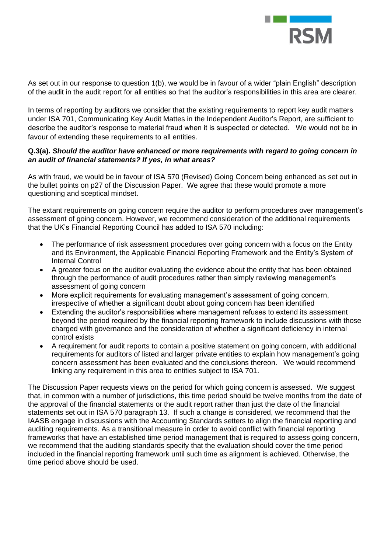

As set out in our response to question 1(b), we would be in favour of a wider "plain English" description of the audit in the audit report for all entities so that the auditor's responsibilities in this area are clearer.

In terms of reporting by auditors we consider that the existing requirements to report key audit matters under ISA 701, Communicating Key Audit Mattes in the Independent Auditor's Report, are sufficient to describe the auditor's response to material fraud when it is suspected or detected. We would not be in favour of extending these requirements to all entities.

## **Q.3(a).** *Should the auditor have enhanced or more requirements with regard to going concern in an audit of financial statements? If yes, in what areas?*

As with fraud, we would be in favour of ISA 570 (Revised) Going Concern being enhanced as set out in the bullet points on p27 of the Discussion Paper. We agree that these would promote a more questioning and sceptical mindset.

The extant requirements on going concern require the auditor to perform procedures over management's assessment of going concern. However, we recommend consideration of the additional requirements that the UK's Financial Reporting Council has added to ISA 570 including:

- The performance of risk assessment procedures over going concern with a focus on the Entity and its Environment, the Applicable Financial Reporting Framework and the Entity's System of Internal Control
- A greater focus on the auditor evaluating the evidence about the entity that has been obtained through the performance of audit procedures rather than simply reviewing management's assessment of going concern
- More explicit requirements for evaluating management's assessment of going concern, irrespective of whether a significant doubt about going concern has been identified
- Extending the auditor's responsibilities where management refuses to extend its assessment beyond the period required by the financial reporting framework to include discussions with those charged with governance and the consideration of whether a significant deficiency in internal control exists
- A requirement for audit reports to contain a positive statement on going concern, with additional requirements for auditors of listed and larger private entities to explain how management's going concern assessment has been evaluated and the conclusions thereon. We would recommend linking any requirement in this area to entities subject to ISA 701.

The Discussion Paper requests views on the period for which going concern is assessed. We suggest that, in common with a number of jurisdictions, this time period should be twelve months from the date of the approval of the financial statements or the audit report rather than just the date of the financial statements set out in ISA 570 paragraph 13. If such a change is considered, we recommend that the IAASB engage in discussions with the Accounting Standards setters to align the financial reporting and auditing requirements. As a transitional measure in order to avoid conflict with financial reporting frameworks that have an established time period management that is required to assess going concern, we recommend that the auditing standards specify that the evaluation should cover the time period included in the financial reporting framework until such time as alignment is achieved. Otherwise, the time period above should be used.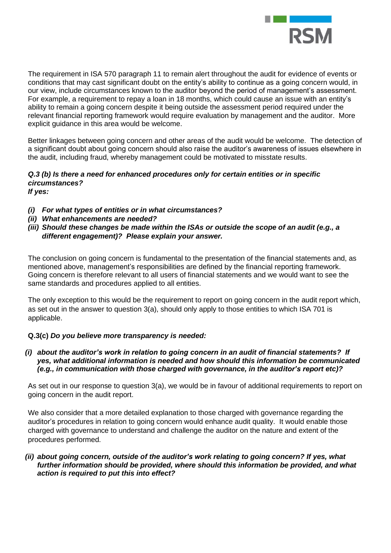

The requirement in ISA 570 paragraph 11 to remain alert throughout the audit for evidence of events or conditions that may cast significant doubt on the entity's ability to continue as a going concern would, in our view, include circumstances known to the auditor beyond the period of management's assessment. For example, a requirement to repay a loan in 18 months, which could cause an issue with an entity's ability to remain a going concern despite it being outside the assessment period required under the relevant financial reporting framework would require evaluation by management and the auditor. More explicit guidance in this area would be welcome.

Better linkages between going concern and other areas of the audit would be welcome. The detection of a significant doubt about going concern should also raise the auditor's awareness of issues elsewhere in the audit, including fraud, whereby management could be motivated to misstate results.

#### *Q.3 (b) Is there a need for enhanced procedures only for certain entities or in specific circumstances? If yes:*

- *(i) For what types of entities or in what circumstances?*
- *(ii) What enhancements are needed?*
- *(iii) Should these changes be made within the ISAs or outside the scope of an audit (e.g., a different engagement)? Please explain your answer.*

The conclusion on going concern is fundamental to the presentation of the financial statements and, as mentioned above, management's responsibilities are defined by the financial reporting framework. Going concern is therefore relevant to all users of financial statements and we would want to see the same standards and procedures applied to all entities.

The only exception to this would be the requirement to report on going concern in the audit report which, as set out in the answer to question 3(a), should only apply to those entities to which ISA 701 is applicable.

## **Q.3(c)** *Do you believe more transparency is needed:*

*(i) about the auditor's work in relation to going concern in an audit of financial statements? If yes, what additional information is needed and how should this information be communicated (e.g., in communication with those charged with governance, in the auditor's report etc)?*

As set out in our response to question 3(a), we would be in favour of additional requirements to report on going concern in the audit report.

We also consider that a more detailed explanation to those charged with governance regarding the auditor's procedures in relation to going concern would enhance audit quality. It would enable those charged with governance to understand and challenge the auditor on the nature and extent of the procedures performed.

#### *(ii) about going concern, outside of the auditor's work relating to going concern? If yes, what*  further information should be provided, where should this information be provided, and what *action is required to put this into effect?*